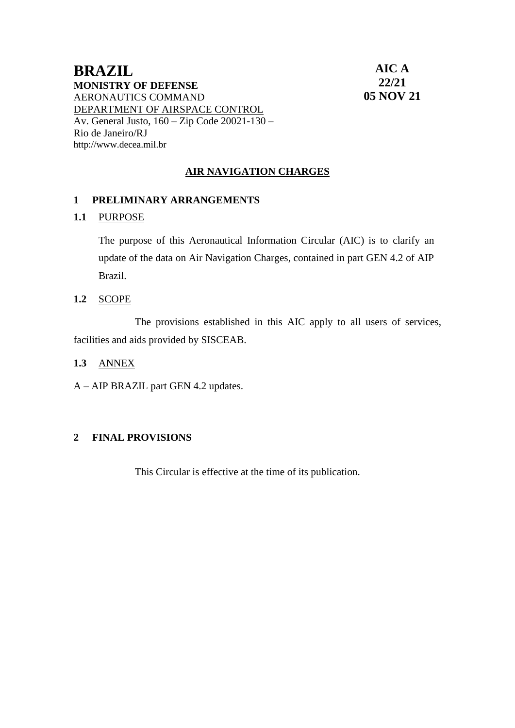## **BRAZIL MONISTRY OF DEFENSE** AERONAUTICS COMMAND DEPARTMENT OF AIRSPACE CONTROL Av. General Justo, 160 – Zip Code 20021-130 – Rio de Janeiro/RJ [http://www.decea.mil.br](http://www.decea.mil.br/)

**AIC A 22/21 05 NOV 21**

# **AIR NAVIGATION CHARGES**

## **1 PRELIMINARY ARRANGEMENTS**

## **1.1** PURPOSE

The purpose of this Aeronautical Information Circular (AIC) is to clarify an update of the data on Air Navigation Charges, contained in part GEN 4.2 of AIP Brazil.

**1.2** SCOPE

The provisions established in this AIC apply to all users of services, facilities and aids provided by SISCEAB.

- **1.3** ANNEX
- A AIP BRAZIL part GEN 4.2 updates.

### **2 FINAL PROVISIONS**

This Circular is effective at the time of its publication.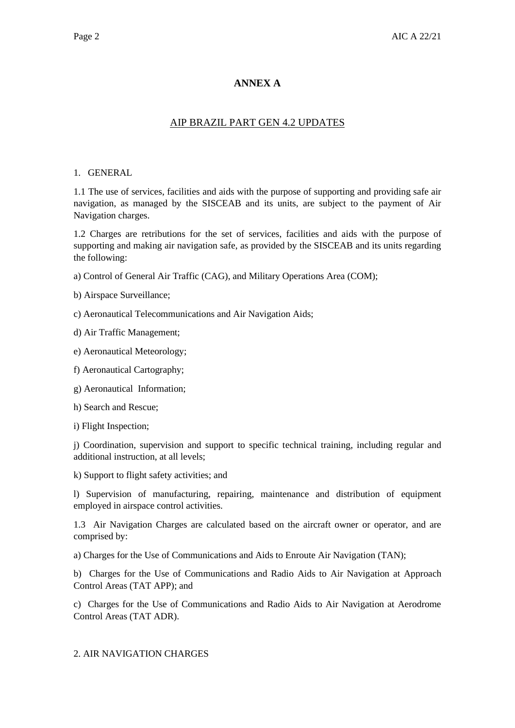## **ANNEX A**

## AIP BRAZIL PART GEN 4.2 UPDATES

#### 1. GENERAL

1.1 The use of services, facilities and aids with the purpose of supporting and providing safe air navigation, as managed by the SISCEAB and its units, are subject to the payment of Air Navigation charges.

1.2 Charges are retributions for the set of services, facilities and aids with the purpose of supporting and making air navigation safe, as provided by the SISCEAB and its units regarding the following:

a) Control of General Air Traffic (CAG), and Military Operations Area (COM);

b) Airspace Surveillance;

c) Aeronautical Telecommunications and Air Navigation Aids;

d) Air Traffic Management;

e) Aeronautical Meteorology;

f) Aeronautical Cartography;

g) Aeronautical Information;

h) Search and Rescue;

i) Flight Inspection;

j) Coordination, supervision and support to specific technical training, including regular and additional instruction, at all levels;

k) Support to flight safety activities; and

l) Supervision of manufacturing, repairing, maintenance and distribution of equipment employed in airspace control activities.

1.3 Air Navigation Charges are calculated based on the aircraft owner or operator, and are comprised by:

a) Charges for the Use of Communications and Aids to Enroute Air Navigation (TAN);

b) Charges for the Use of Communications and Radio Aids to Air Navigation at Approach Control Areas (TAT APP); and

c) Charges for the Use of Communications and Radio Aids to Air Navigation at Aerodrome Control Areas (TAT ADR).

### 2. AIR NAVIGATION CHARGES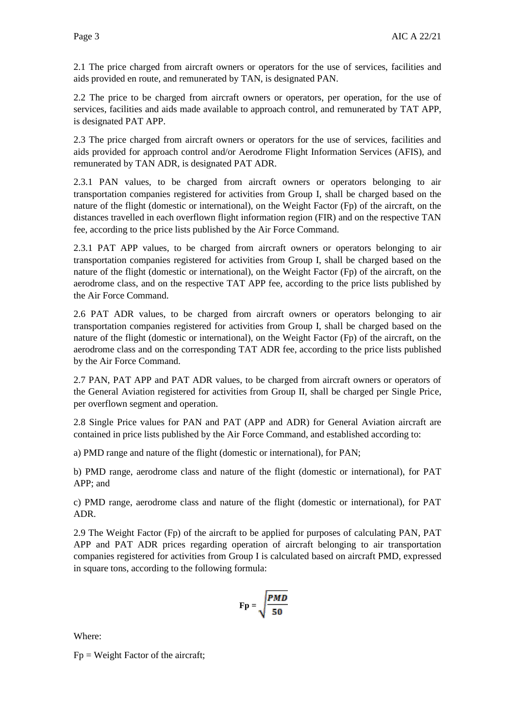2.1 The price charged from aircraft owners or operators for the use of services, facilities and aids provided en route, and remunerated by TAN, is designated PAN.

2.2 The price to be charged from aircraft owners or operators, per operation, for the use of services, facilities and aids made available to approach control, and remunerated by TAT APP, is designated PAT APP.

2.3 The price charged from aircraft owners or operators for the use of services, facilities and aids provided for approach control and/or Aerodrome Flight Information Services (AFIS), and remunerated by TAN ADR, is designated PAT ADR.

2.3.1 PAN values, to be charged from aircraft owners or operators belonging to air transportation companies registered for activities from Group I, shall be charged based on the nature of the flight (domestic or international), on the Weight Factor (Fp) of the aircraft, on the distances travelled in each overflown flight information region (FIR) and on the respective TAN fee, according to the price lists published by the Air Force Command.

2.3.1 PAT APP values, to be charged from aircraft owners or operators belonging to air transportation companies registered for activities from Group I, shall be charged based on the nature of the flight (domestic or international), on the Weight Factor (Fp) of the aircraft, on the aerodrome class, and on the respective TAT APP fee, according to the price lists published by the Air Force Command.

2.6 PAT ADR values, to be charged from aircraft owners or operators belonging to air transportation companies registered for activities from Group I, shall be charged based on the nature of the flight (domestic or international), on the Weight Factor (Fp) of the aircraft, on the aerodrome class and on the corresponding TAT ADR fee, according to the price lists published by the Air Force Command.

2.7 PAN, PAT APP and PAT ADR values, to be charged from aircraft owners or operators of the General Aviation registered for activities from Group II, shall be charged per Single Price, per overflown segment and operation.

2.8 Single Price values for PAN and PAT (APP and ADR) for General Aviation aircraft are contained in price lists published by the Air Force Command, and established according to:

a) PMD range and nature of the flight (domestic or international), for PAN;

b) PMD range, aerodrome class and nature of the flight (domestic or international), for PAT APP; and

c) PMD range, aerodrome class and nature of the flight (domestic or international), for PAT ADR.

2.9 The Weight Factor (Fp) of the aircraft to be applied for purposes of calculating PAN, PAT APP and PAT ADR prices regarding operation of aircraft belonging to air transportation companies registered for activities from Group I is calculated based on aircraft PMD, expressed in square tons, according to the following formula:

$$
\mathbf{Fp} = \sqrt{\frac{PMD}{50}}
$$

Where:

 $Fp = Weight Factor of the aircraft;$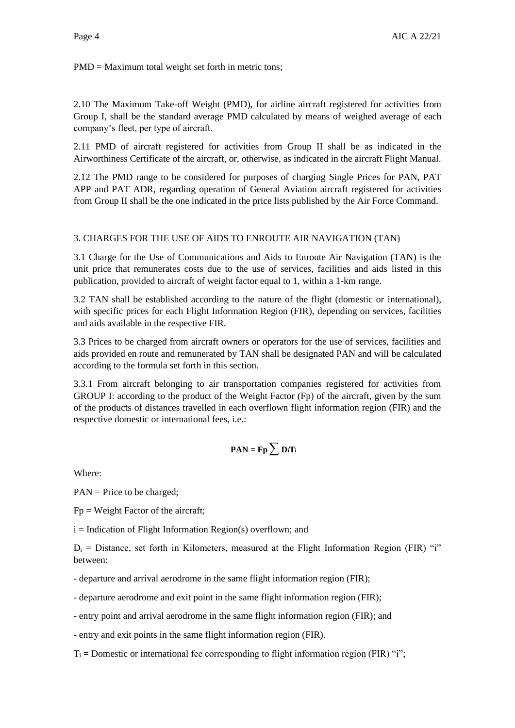PMD = Maximum total weight set forth in metric tons;

2.10 The Maximum Take-off Weight (PMD), for airline aircraft registered for activities from Group I, shall be the standard average PMD calculated by means of weighed average of each company's fleet, per type of aircraft.

2.11 PMD of aircraft registered for activities from Group II shall be as indicated in the Airworthiness Certificate of the aircraft, or, otherwise, as indicated in the aircraft Flight Manual.

2.12 The PMD range to be considered for purposes of charging Single Prices for PAN, PAT APP and PAT ADR, regarding operation of General Aviation aircraft registered for activities from Group II shall be the one indicated in the price lists published by the Air Force Command.

### 3. CHARGES FOR THE USE OF AIDS TO ENROUTE AIR NAVIGATION (TAN)

3.1 Charge for the Use of Communications and Aids to Enroute Air Navigation (TAN) is the unit price that remunerates costs due to the use of services, facilities and aids listed in this publication, provided to aircraft of weight factor equal to 1, within a 1-km range.

3.2 TAN shall be established according to the nature of the flight (domestic or international), with specific prices for each Flight Information Region (FIR), depending on services, facilities and aids available in the respective FIR.

3.3 Prices to be charged from aircraft owners or operators for the use of services, facilities and aids provided en route and remunerated by TAN shall be designated PAN and will be calculated according to the formula set forth in this section.

3.3.1 From aircraft belonging to air transportation companies registered for activities from GROUP I: according to the product of the Weight Factor (Fp) of the aircraft, given by the sum of the products of distances travelled in each overflown flight information region (FIR) and the respective domestic or international fees, i.e.:

$$
PAN = Fp \sum D_i T_i
$$

Where:

PAN = Price to be charged;

 $Fp = Weight Factor of the aircraft;$ 

 $i = Indication of Flight Information Region(s) overflown; and$ 

 $D_i$  = Distance, set forth in Kilometers, measured at the Flight Information Region (FIR) "i" between:

- departure and arrival aerodrome in the same flight information region (FIR);

- departure aerodrome and exit point in the same flight information region (FIR);

- entry point and arrival aerodrome in the same flight information region (FIR); and

- entry and exit points in the same flight information region (FIR).

 $T_i$  = Domestic or international fee corresponding to flight information region (FIR) "i";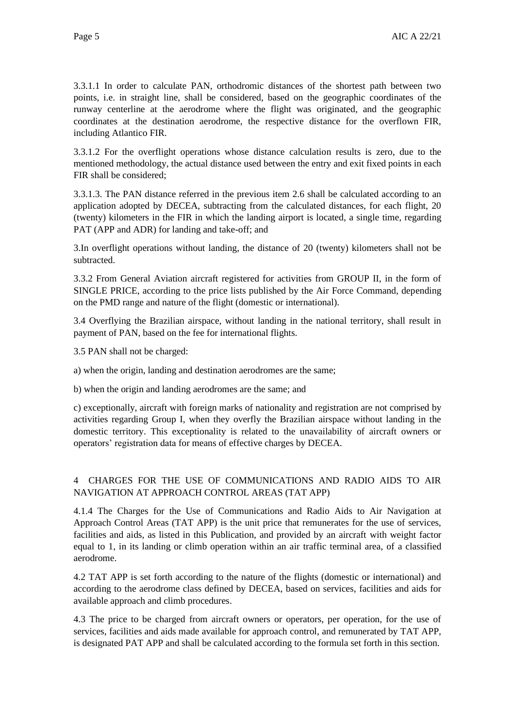3.3.1.1 In order to calculate PAN, orthodromic distances of the shortest path between two points, i.e. in straight line, shall be considered, based on the geographic coordinates of the runway centerline at the aerodrome where the flight was originated, and the geographic coordinates at the destination aerodrome, the respective distance for the overflown FIR, including Atlantico FIR.

3.3.1.2 For the overflight operations whose distance calculation results is zero, due to the mentioned methodology, the actual distance used between the entry and exit fixed points in each FIR shall be considered;

3.3.1.3. The PAN distance referred in the previous item 2.6 shall be calculated according to an application adopted by DECEA, subtracting from the calculated distances, for each flight, 20 (twenty) kilometers in the FIR in which the landing airport is located, a single time, regarding PAT (APP and ADR) for landing and take-off; and

3.In overflight operations without landing, the distance of 20 (twenty) kilometers shall not be subtracted.

3.3.2 From General Aviation aircraft registered for activities from GROUP II, in the form of SINGLE PRICE, according to the price lists published by the Air Force Command, depending on the PMD range and nature of the flight (domestic or international).

3.4 Overflying the Brazilian airspace, without landing in the national territory, shall result in payment of PAN, based on the fee for international flights.

3.5 PAN shall not be charged:

a) when the origin, landing and destination aerodromes are the same;

b) when the origin and landing aerodromes are the same; and

c) exceptionally, aircraft with foreign marks of nationality and registration are not comprised by activities regarding Group I, when they overfly the Brazilian airspace without landing in the domestic territory. This exceptionality is related to the unavailability of aircraft owners or operators' registration data for means of effective charges by DECEA.

### 4 CHARGES FOR THE USE OF COMMUNICATIONS AND RADIO AIDS TO AIR NAVIGATION AT APPROACH CONTROL AREAS (TAT APP)

4.1.4 The Charges for the Use of Communications and Radio Aids to Air Navigation at Approach Control Areas (TAT APP) is the unit price that remunerates for the use of services, facilities and aids, as listed in this Publication, and provided by an aircraft with weight factor equal to 1, in its landing or climb operation within an air traffic terminal area, of a classified aerodrome.

4.2 TAT APP is set forth according to the nature of the flights (domestic or international) and according to the aerodrome class defined by DECEA, based on services, facilities and aids for available approach and climb procedures.

4.3 The price to be charged from aircraft owners or operators, per operation, for the use of services, facilities and aids made available for approach control, and remunerated by TAT APP, is designated PAT APP and shall be calculated according to the formula set forth in this section.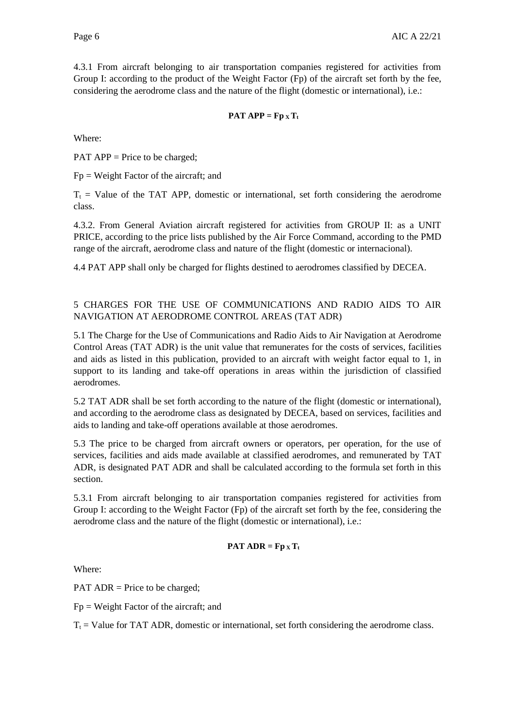4.3.1 From aircraft belonging to air transportation companies registered for activities from Group I: according to the product of the Weight Factor (Fp) of the aircraft set forth by the fee, considering the aerodrome class and the nature of the flight (domestic or international), i.e.:

#### **PAT APP** =  $\mathbf{Fp} \times \mathbf{T_t}$

Where:

PAT APP = Price to be charged;

 $Fp = Weight Factor of the aircraft; and$ 

 $T<sub>t</sub>$  = Value of the TAT APP, domestic or international, set forth considering the aerodrome class.

4.3.2. From General Aviation aircraft registered for activities from GROUP II: as a UNIT PRICE, according to the price lists published by the Air Force Command, according to the PMD range of the aircraft, aerodrome class and nature of the flight (domestic or internacional).

4.4 PAT APP shall only be charged for flights destined to aerodromes classified by DECEA.

### 5 CHARGES FOR THE USE OF COMMUNICATIONS AND RADIO AIDS TO AIR NAVIGATION AT AERODROME CONTROL AREAS (TAT ADR)

5.1 The Charge for the Use of Communications and Radio Aids to Air Navigation at Aerodrome Control Areas (TAT ADR) is the unit value that remunerates for the costs of services, facilities and aids as listed in this publication, provided to an aircraft with weight factor equal to 1, in support to its landing and take-off operations in areas within the jurisdiction of classified aerodromes.

5.2 TAT ADR shall be set forth according to the nature of the flight (domestic or international), and according to the aerodrome class as designated by DECEA, based on services, facilities and aids to landing and take-off operations available at those aerodromes.

5.3 The price to be charged from aircraft owners or operators, per operation, for the use of services, facilities and aids made available at classified aerodromes, and remunerated by TAT ADR, is designated PAT ADR and shall be calculated according to the formula set forth in this section.

5.3.1 From aircraft belonging to air transportation companies registered for activities from Group I: according to the Weight Factor (Fp) of the aircraft set forth by the fee, considering the aerodrome class and the nature of the flight (domestic or international), i.e.:

#### **PAT ADR = Fp**  $\mathbf{x}$ **T**<sub>t</sub>

Where:

PAT ADR = Price to be charged;

 $Fp = Weight Factor of the aircraft; and$ 

 $T<sub>t</sub>$  = Value for TAT ADR, domestic or international, set forth considering the aerodrome class.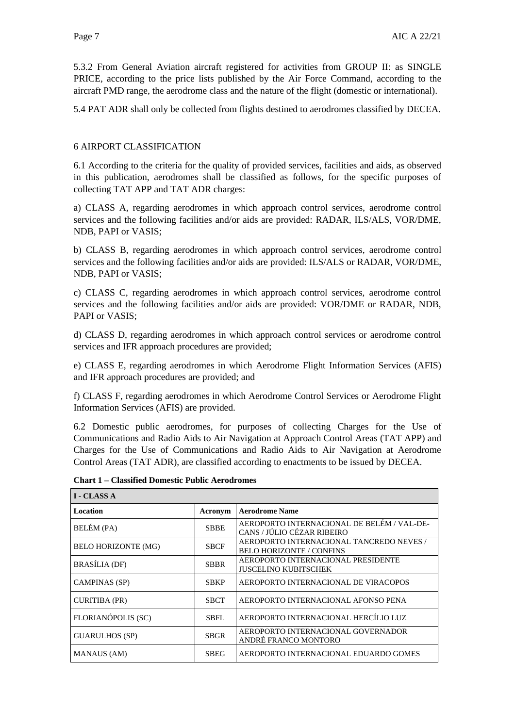5.3.2 From General Aviation aircraft registered for activities from GROUP II: as SINGLE PRICE, according to the price lists published by the Air Force Command, according to the aircraft PMD range, the aerodrome class and the nature of the flight (domestic or international).

5.4 PAT ADR shall only be collected from flights destined to aerodromes classified by DECEA.

#### 6 AIRPORT CLASSIFICATION

6.1 According to the criteria for the quality of provided services, facilities and aids, as observed in this publication, aerodromes shall be classified as follows, for the specific purposes of collecting TAT APP and TAT ADR charges:

a) CLASS A, regarding aerodromes in which approach control services, aerodrome control services and the following facilities and/or aids are provided: RADAR, ILS/ALS, VOR/DME, NDB, PAPI or VASIS;

b) CLASS B, regarding aerodromes in which approach control services, aerodrome control services and the following facilities and/or aids are provided: ILS/ALS or RADAR, VOR/DME, NDB, PAPI or VASIS;

c) CLASS C, regarding aerodromes in which approach control services, aerodrome control services and the following facilities and/or aids are provided: VOR/DME or RADAR, NDB, PAPI or VASIS;

d) CLASS D, regarding aerodromes in which approach control services or aerodrome control services and IFR approach procedures are provided;

e) CLASS E, regarding aerodromes in which Aerodrome Flight Information Services (AFIS) and IFR approach procedures are provided; and

f) CLASS F, regarding aerodromes in which Aerodrome Control Services or Aerodrome Flight Information Services (AFIS) are provided.

6.2 Domestic public aerodromes, for purposes of collecting Charges for the Use of Communications and Radio Aids to Air Navigation at Approach Control Areas (TAT APP) and Charges for the Use of Communications and Radio Aids to Air Navigation at Aerodrome Control Areas (TAT ADR), are classified according to enactments to be issued by DECEA.

| <b>I - CLASS A</b>         |             |                                                                             |  |
|----------------------------|-------------|-----------------------------------------------------------------------------|--|
| <b>Location</b>            | Acronym     | <b>Aerodrome Name</b>                                                       |  |
| BELÉM (PA)                 | <b>SBBE</b> | AEROPORTO INTERNACIONAL DE BELÉM / VAL-DE-<br>CANS / JÚLIO CÉZAR RIBEIRO    |  |
| <b>BELO HORIZONTE (MG)</b> | <b>SBCF</b> | AEROPORTO INTERNACIONAL TANCREDO NEVES /<br><b>BELO HORIZONTE / CONFINS</b> |  |
| <b>BRASÍLIA</b> (DF)       | <b>SBBR</b> | AEROPORTO INTERNACIONAL PRESIDENTE<br><b>JUSCELINO KUBITSCHEK</b>           |  |
| <b>CAMPINAS (SP)</b>       | <b>SBKP</b> | AEROPORTO INTERNACIONAL DE VIRACOPOS                                        |  |
| <b>CURITIBA (PR)</b>       | <b>SBCT</b> | AEROPORTO INTERNACIONAL AFONSO PENA                                         |  |
| FLORIANÓPOLIS (SC)         | <b>SBFL</b> | AEROPORTO INTERNACIONAL HERCÍLIO LUZ                                        |  |
| <b>GUARULHOS (SP)</b>      | <b>SBGR</b> | AEROPORTO INTERNACIONAL GOVERNADOR<br>ANDRÉ FRANCO MONTORO                  |  |
| <b>MANAUS</b> (AM)         | <b>SBEG</b> | AEROPORTO INTERNACIONAL EDUARDO GOMES                                       |  |

**Chart 1 – Classified Domestic Public Aerodromes**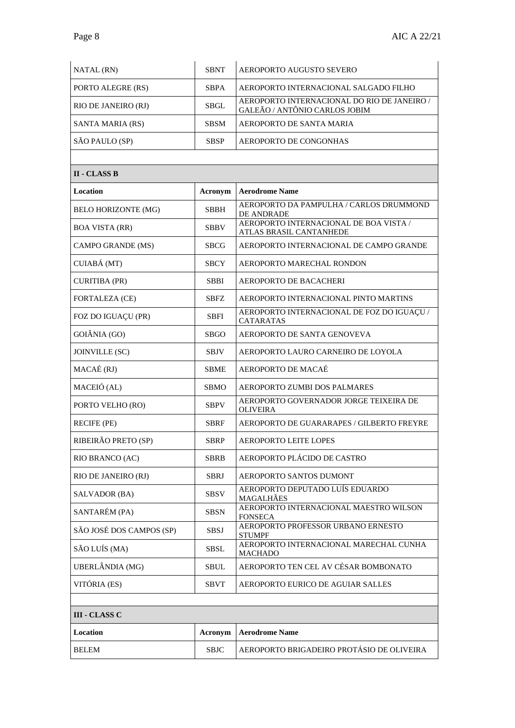| NATAL (RN)          | <b>SBNT</b> | AEROPORTO AUGUSTO SEVERO                                                     |
|---------------------|-------------|------------------------------------------------------------------------------|
| PORTO ALEGRE (RS)   | <b>SBPA</b> | AEROPORTO INTERNACIONAL SALGADO FILHO                                        |
| RIO DE JANEIRO (RJ) | <b>SBGL</b> | AEROPORTO INTERNACIONAL DO RIO DE JANEIRO /<br>GALEÃO / ANTÔNIO CARLOS JOBIM |
| SANTA MARIA (RS)    | <b>SBSM</b> | AEROPORTO DE SANTA MARIA                                                     |
| SÃO PAULO (SP)      | <b>SBSP</b> | AEROPORTO DE CONGONHAS                                                       |

| <b>II - CLASS B</b>        |             |                                                                   |
|----------------------------|-------------|-------------------------------------------------------------------|
| Location                   | Acronym     | <b>Aerodrome Name</b>                                             |
| <b>BELO HORIZONTE (MG)</b> | SBBH        | AEROPORTO DA PAMPULHA / CARLOS DRUMMOND<br>DE ANDRADE             |
| <b>BOA VISTA (RR)</b>      | SBBV        | AEROPORTO INTERNACIONAL DE BOA VISTA /<br>ATLAS BRASIL CANTANHEDE |
| CAMPO GRANDE (MS)          | SBCG        | AEROPORTO INTERNACIONAL DE CAMPO GRANDE                           |
| CUIABÁ (MT)                | SBCY        | AEROPORTO MARECHAL RONDON                                         |
| <b>CURITIBA (PR)</b>       | <b>SBBI</b> | AEROPORTO DE BACACHERI                                            |
| <b>FORTALEZA (CE)</b>      | SBFZ        | AEROPORTO INTERNACIONAL PINTO MARTINS                             |
| FOZ DO IGUAÇU (PR)         | SBFI        | AEROPORTO INTERNACIONAL DE FOZ DO IGUAÇU /<br><b>CATARATAS</b>    |
| GOIÂNIA (GO)               | <b>SBGO</b> | AEROPORTO DE SANTA GENOVEVA                                       |
| <b>JOINVILLE (SC)</b>      | <b>SBJV</b> | AEROPORTO LAURO CARNEIRO DE LOYOLA                                |
| MACAÉ (RJ)                 | SBME        | AEROPORTO DE MACAÉ                                                |
| MACEIÓ (AL)                | <b>SBMO</b> | AEROPORTO ZUMBI DOS PALMARES                                      |
| PORTO VELHO (RO)           | <b>SBPV</b> | AEROPORTO GOVERNADOR JORGE TEIXEIRA DE<br><b>OLIVEIRA</b>         |
| <b>RECIFE (PE)</b>         | <b>SBRF</b> | AEROPORTO DE GUARARAPES / GILBERTO FREYRE                         |
| RIBEIRÃO PRETO (SP)        | <b>SBRP</b> | <b>AEROPORTO LEITE LOPES</b>                                      |
| RIO BRANCO (AC)            | <b>SBRB</b> | AEROPORTO PLÁCIDO DE CASTRO                                       |
| RIO DE JANEIRO (RJ)        | <b>SBRJ</b> | AEROPORTO SANTOS DUMONT                                           |
| SALVADOR (BA)              | <b>SBSV</b> | AEROPORTO DEPUTADO LUÍS EDUARDO<br>MAGALHÃES                      |
| SANTARÉM (PA)              | <b>SBSN</b> | AEROPORTO INTERNACIONAL MAESTRO WILSON<br><b>FONSECA</b>          |
| SÃO JOSÉ DOS CAMPOS (SP)   | <b>SBSJ</b> | AEROPORTO PROFESSOR URBANO ERNESTO<br><b>STUMPF</b>               |
| SÃO LUÍS (MA)              | SBSL        | AEROPORTO INTERNACIONAL MARECHAL CUNHA<br>MACHADO                 |
| UBERLÂNDIA (MG)            | <b>SBUL</b> | AEROPORTO TEN CEL AV CÉSAR BOMBONATO                              |
| VITÓRIA (ES)               | SBVT        | AEROPORTO EURICO DE AGUIAR SALLES                                 |
|                            |             |                                                                   |
| III - CLASS C              |             |                                                                   |
| Location                   | Acronym     | <b>Aerodrome Name</b>                                             |

BELEM SBJC AEROPORTO BRIGADEIRO PROTÁSIO DE OLIVEIRA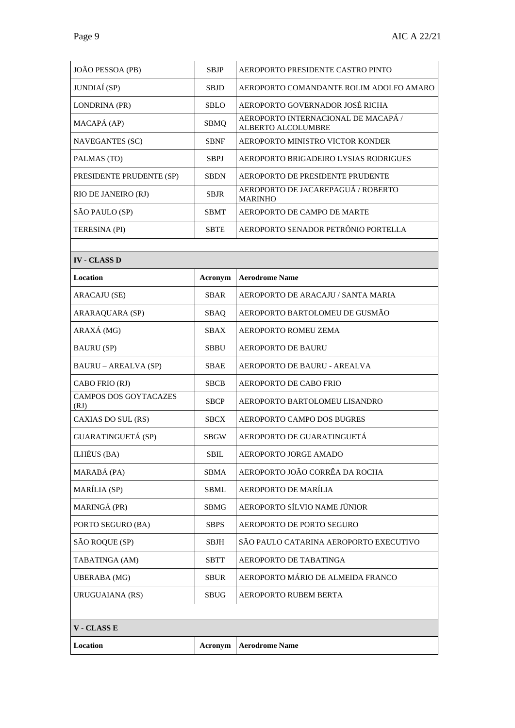| JOÃO PESSOA (PB)              | <b>SBJP</b> | AEROPORTO PRESIDENTE CASTRO PINTO                         |  |
|-------------------------------|-------------|-----------------------------------------------------------|--|
| JUNDIAÍ (SP)                  | <b>SBJD</b> | AEROPORTO COMANDANTE ROLIM ADOLFO AMARO                   |  |
| LONDRINA (PR)                 | <b>SBLO</b> | AEROPORTO GOVERNADOR JOSÉ RICHA                           |  |
| MACAPÁ (AP)                   | <b>SBMQ</b> | AEROPORTO INTERNACIONAL DE MACAPÁ /<br>ALBERTO ALCOLUMBRE |  |
| <b>NAVEGANTES (SC)</b>        | <b>SBNF</b> | AEROPORTO MINISTRO VICTOR KONDER                          |  |
| PALMAS (TO)                   | <b>SBPJ</b> | AEROPORTO BRIGADEIRO LYSIAS RODRIGUES                     |  |
| PRESIDENTE PRUDENTE (SP)      | <b>SBDN</b> | AEROPORTO DE PRESIDENTE PRUDENTE                          |  |
| RIO DE JANEIRO (RJ)           | SBJR        | AEROPORTO DE JACAREPAGUA / ROBERTO<br><b>MARINHO</b>      |  |
| SÃO PAULO (SP)                | <b>SBMT</b> | AEROPORTO DE CAMPO DE MARTE                               |  |
| TERESINA (PI)                 | <b>SBTE</b> | AEROPORTO SENADOR PETRÔNIO PORTELLA                       |  |
|                               |             |                                                           |  |
| <b>IV - CLASS D</b>           |             |                                                           |  |
| Location                      | Acronym     | <b>Aerodrome Name</b>                                     |  |
| ARACAJU (SE)                  | <b>SBAR</b> | AEROPORTO DE ARACAJU / SANTA MARIA                        |  |
| ARARAQUARA (SP)               | <b>SBAQ</b> | AEROPORTO BARTOLOMEU DE GUSMÃO                            |  |
| ARAXÁ (MG)                    | <b>SBAX</b> | AEROPORTO ROMEU ZEMA                                      |  |
| <b>BAURU</b> (SP)             | <b>SBBU</b> | <b>AEROPORTO DE BAURU</b>                                 |  |
| <b>BAURU – AREALVA (SP)</b>   | <b>SBAE</b> | AEROPORTO DE BAURU - AREALVA                              |  |
| CABO FRIO (RJ)                | <b>SBCB</b> | AEROPORTO DE CABO FRIO                                    |  |
| CAMPOS DOS GOYTACAZES<br>(RJ) | <b>SBCP</b> | AEROPORTO BARTOLOMEU LISANDRO                             |  |
| CAXIAS DO SUL (RS)            | <b>SBCX</b> | AEROPORTO CAMPO DOS BUGRES                                |  |
| GUARATINGUETÁ (SP)            | <b>SBGW</b> | AEROPORTO DE GUARATINGUETÁ                                |  |
| ILHÉUS (BA)                   | <b>SBIL</b> | AEROPORTO JORGE AMADO                                     |  |
| MARABÁ (PA)                   | <b>SBMA</b> | AEROPORTO JOÃO CORRÊA DA ROCHA                            |  |
| MARÍLIA (SP)                  | SBML        | AEROPORTO DE MARÍLIA                                      |  |
| MARINGÁ (PR)                  | <b>SBMG</b> | AEROPORTO SÍLVIO NAME JÚNIOR                              |  |
| PORTO SEGURO (BA)             | <b>SBPS</b> | AEROPORTO DE PORTO SEGURO                                 |  |
| SÃO ROQUE (SP)                | SBJH        | SÃO PAULO CATARINA AEROPORTO EXECUTIVO                    |  |
| TABATINGA (AM)                | <b>SBTT</b> | AEROPORTO DE TABATINGA                                    |  |
| <b>UBERABA</b> (MG)           | SBUR        | AEROPORTO MÁRIO DE ALMEIDA FRANCO                         |  |
| URUGUAIANA (RS)               | SBUG        | AEROPORTO RUBEM BERTA                                     |  |
|                               |             |                                                           |  |
| <b>V</b> - CLASS E            |             |                                                           |  |
| Location                      | Acronym     | <b>Aerodrome Name</b>                                     |  |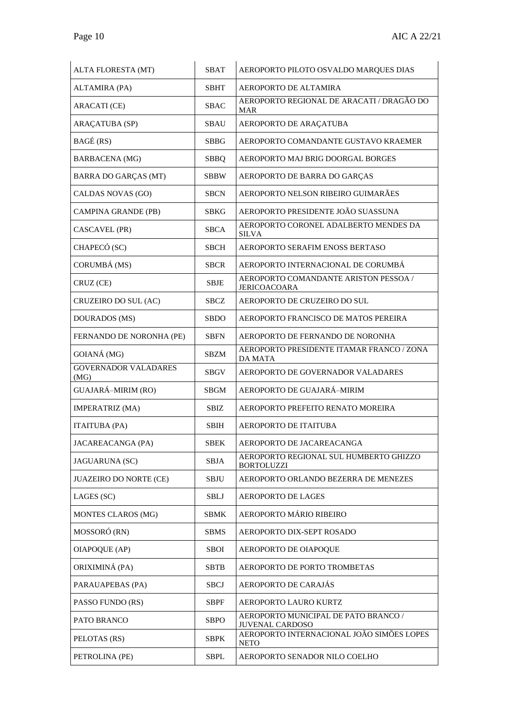| ALTA FLORESTA (MT)                  | <b>SBAT</b> | AEROPORTO PILOTO OSVALDO MARQUES DIAS                          |  |
|-------------------------------------|-------------|----------------------------------------------------------------|--|
| ALTAMIRA (PA)                       | <b>SBHT</b> | AEROPORTO DE ALTAMIRA                                          |  |
| <b>ARACATI</b> (CE)                 | <b>SBAC</b> | AEROPORTO REGIONAL DE ARACATI / DRAGÃO DO<br>MAR               |  |
| <b>ARAÇATUBA (SP)</b>               | SBAU        | AEROPORTO DE ARAÇATUBA                                         |  |
| BAGÉ (RS)                           | <b>SBBG</b> | AEROPORTO COMANDANTE GUSTAVO KRAEMER                           |  |
| <b>BARBACENA</b> (MG)               | <b>SBBQ</b> | AEROPORTO MAJ BRIG DOORGAL BORGES                              |  |
| <b>BARRA DO GARÇAS (MT)</b>         | <b>SBBW</b> | AEROPORTO DE BARRA DO GARÇAS                                   |  |
| CALDAS NOVAS (GO)                   | <b>SBCN</b> | AEROPORTO NELSON RIBEIRO GUIMARÃES                             |  |
| CAMPINA GRANDE (PB)                 | <b>SBKG</b> | AEROPORTO PRESIDENTE JOÃO SUASSUNA                             |  |
| CASCAVEL (PR)                       | <b>SBCA</b> | AEROPORTO CORONEL ADALBERTO MENDES DA<br><b>SILVA</b>          |  |
| CHAPECÓ (SC)                        | <b>SBCH</b> | AEROPORTO SERAFIM ENOSS BERTASO                                |  |
| CORUMBÁ (MS)                        | <b>SBCR</b> | AEROPORTO INTERNACIONAL DE CORUMBÁ                             |  |
| CRUZ (CE)                           | <b>SBJE</b> | AEROPORTO COMANDANTE ARISTON PESSOA /<br><b>JERICOACOARA</b>   |  |
| CRUZEIRO DO SUL (AC)                | <b>SBCZ</b> | AEROPORTO DE CRUZEIRO DO SUL                                   |  |
| DOURADOS (MS)                       | <b>SBDO</b> | AEROPORTO FRANCISCO DE MATOS PEREIRA                           |  |
| FERNANDO DE NORONHA (PE)            | <b>SBFN</b> | AEROPORTO DE FERNANDO DE NORONHA                               |  |
| GOIANÁ (MG)                         | SBZM        | AEROPORTO PRESIDENTE ITAMAR FRANCO / ZONA<br><b>DA MATA</b>    |  |
| <b>GOVERNADOR VALADARES</b><br>(MG) | <b>SBGV</b> | AEROPORTO DE GOVERNADOR VALADARES                              |  |
| GUAJARÁ-MIRIM (RO)                  | SBGM        | AEROPORTO DE GUAJARÁ-MIRIM                                     |  |
| <b>IMPERATRIZ (MA)</b>              | <b>SBIZ</b> | AEROPORTO PREFEITO RENATO MOREIRA                              |  |
| <b>ITAITUBA (PA)</b>                | <b>SBIH</b> | AEROPORTO DE ITAITUBA                                          |  |
| <b>JACAREACANGA (PA)</b>            | <b>SBEK</b> | AEROPORTO DE JACAREACANGA                                      |  |
| <b>JAGUARUNA (SC)</b>               | <b>SBJA</b> | AEROPORTO REGIONAL SUL HUMBERTO GHIZZO<br><b>BORTOLUZZI</b>    |  |
| <b>JUAZEIRO DO NORTE (CE)</b>       | <b>SBJU</b> | AEROPORTO ORLANDO BEZERRA DE MENEZES                           |  |
| LAGES (SC)                          | SBLJ        | <b>AEROPORTO DE LAGES</b>                                      |  |
| <b>MONTES CLAROS (MG)</b>           | SBMK        | AEROPORTO MÁRIO RIBEIRO                                        |  |
| MOSSORÓ (RN)                        | <b>SBMS</b> | AEROPORTO DIX-SEPT ROSADO                                      |  |
| OIAPOQUE (AP)                       | SBOI        | AEROPORTO DE OIAPOQUE                                          |  |
| ORIXIMINÁ (PA)                      | <b>SBTB</b> | AEROPORTO DE PORTO TROMBETAS                                   |  |
| PARAUAPEBAS (PA)                    | SBCJ        | AEROPORTO DE CARAJÁS                                           |  |
| PASSO FUNDO (RS)                    | SBPF        | AEROPORTO LAURO KURTZ                                          |  |
| PATO BRANCO                         | <b>SBPO</b> | AEROPORTO MUNICIPAL DE PATO BRANCO /<br><b>JUVENAL CARDOSO</b> |  |
| PELOTAS (RS)                        | <b>SBPK</b> | AEROPORTO INTERNACIONAL JOÃO SIMÕES LOPES<br><b>NETO</b>       |  |
| PETROLINA (PE)                      | SBPL        | AEROPORTO SENADOR NILO COELHO                                  |  |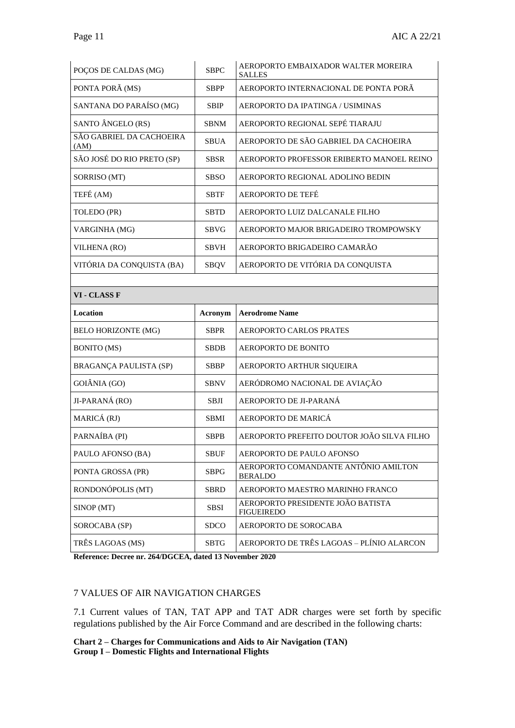| POÇOS DE CALDAS (MG)             | SBPC        | AEROPORTO EMBAIXADOR WALTER MOREIRA<br><b>SALLES</b>   |
|----------------------------------|-------------|--------------------------------------------------------|
| PONTA PORÃ (MS)                  | <b>SBPP</b> | AEROPORTO INTERNACIONAL DE PONTA PORÃ                  |
| SANTANA DO PARAÍSO (MG)          | <b>SBIP</b> | AEROPORTO DA IPATINGA / USIMINAS                       |
| SANTO ÂNGELO (RS)                | <b>SBNM</b> | AEROPORTO REGIONAL SEPÉ TIARAJU                        |
| SÃO GABRIEL DA CACHOEIRA<br>(AM) | <b>SBUA</b> | AEROPORTO DE SÃO GABRIEL DA CACHOEIRA                  |
| SÃO JOSÉ DO RIO PRETO (SP)       | <b>SBSR</b> | AEROPORTO PROFESSOR ERIBERTO MANOEL REINO              |
| SORRISO (MT)                     | <b>SBSO</b> | AEROPORTO REGIONAL ADOLINO BEDIN                       |
| TEFÉ (AM)                        | <b>SBTF</b> | <b>AEROPORTO DE TEFÉ</b>                               |
| TOLEDO (PR)                      | <b>SBTD</b> | AEROPORTO LUIZ DALCANALE FILHO                         |
| VARGINHA (MG)                    | SBVG        | AEROPORTO MAJOR BRIGADEIRO TROMPOWSKY                  |
| VILHENA (RO)                     | <b>SBVH</b> | AEROPORTO BRIGADEIRO CAMARÃO                           |
| VITÓRIA DA CONQUISTA (BA)        | <b>SBQV</b> | AEROPORTO DE VITÓRIA DA CONQUISTA                      |
|                                  |             |                                                        |
| VI - CLASS F                     |             |                                                        |
|                                  |             |                                                        |
| Location                         | Acronym     | <b>Aerodrome Name</b>                                  |
| <b>BELO HORIZONTE (MG)</b>       | <b>SBPR</b> | <b>AEROPORTO CARLOS PRATES</b>                         |
| <b>BONITO</b> (MS)               | <b>SBDB</b> | <b>AEROPORTO DE BONITO</b>                             |
| BRAGANÇA PAULISTA (SP)           | SBBP        | AEROPORTO ARTHUR SIQUEIRA                              |
| GOIÂNIA (GO)                     | SBNV        | AERÓDROMO NACIONAL DE AVIAÇÃO                          |
| JI-PARANÁ (RO)                   | <b>SBJI</b> | AEROPORTO DE JI-PARANÁ                                 |
| MARICÁ (RJ)                      | <b>SBMI</b> | AEROPORTO DE MARICÁ                                    |
| PARNAÍBA (PI)                    | <b>SBPB</b> | AEROPORTO PREFEITO DOUTOR JOÃO SILVA FILHO             |
| PAULO AFONSO (BA)                | <b>SBUF</b> | AEROPORTO DE PAULO AFONSO                              |
| PONTA GROSSA (PR)                | <b>SBPG</b> | AEROPORTO COMANDANTE ANTÔNIO AMILTON<br><b>BERALDO</b> |
| RONDONÓPOLIS (MT)                | <b>SBRD</b> | AEROPORTO MAESTRO MARINHO FRANCO                       |
| SINOP (MT)                       | <b>SBSI</b> | AEROPORTO PRESIDENTE JOÃO BATISTA<br><b>FIGUEIREDO</b> |
| SOROCABA (SP)                    | <b>SDCO</b> | AEROPORTO DE SOROCABA                                  |

**Reference: Decree nr. 264/DGCEA, dated 13 November 2020**

#### 7 VALUES OF AIR NAVIGATION CHARGES

7.1 Current values of TAN, TAT APP and TAT ADR charges were set forth by specific regulations published by the Air Force Command and are described in the following charts:

**Chart 2 – Charges for Communications and Aids to Air Navigation (TAN) Group I – Domestic Flights and International Flights**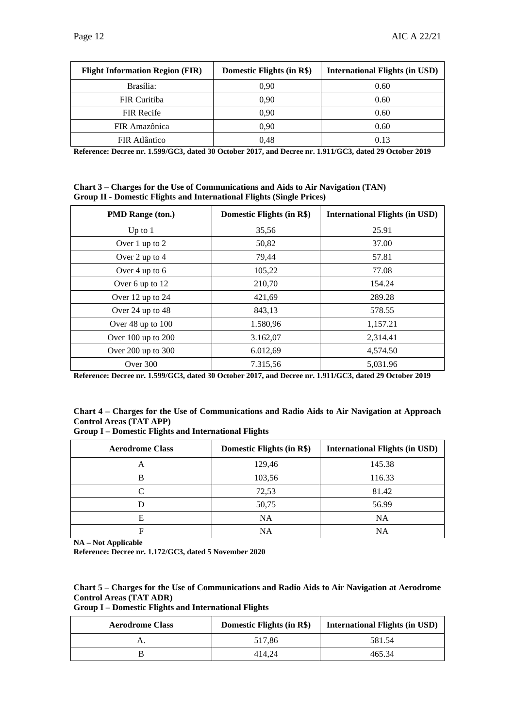| <b>Flight Information Region (FIR)</b> | Domestic Flights (in R\$) | <b>International Flights (in USD)</b> |
|----------------------------------------|---------------------------|---------------------------------------|
| Brasília:                              | 0.90                      | 0.60                                  |
| <b>FIR Curitiba</b>                    | 0.90                      | 0.60                                  |
| <b>FIR Recife</b>                      | 0.90                      | 0.60                                  |
| FIR Amazônica                          | 0.90                      | 0.60                                  |
| FIR Atlântico                          | 0.48                      | 0.13                                  |

**Reference: Decree nr. 1.599/GC3, dated 30 October 2017, and Decree nr. 1.911/GC3, dated 29 October 2019** 

**Chart 3 – Charges for the Use of Communications and Aids to Air Navigation (TAN) Group II - Domestic Flights and International Flights (Single Prices)**

| <b>PMD Range (ton.)</b> | Domestic Flights (in R\$) | <b>International Flights (in USD)</b> |
|-------------------------|---------------------------|---------------------------------------|
| Up to $1$               | 35,56                     | 25.91                                 |
| Over 1 up to 2          | 50,82                     | 37.00                                 |
| Over 2 up to $4$        | 79,44                     | 57.81                                 |
| Over 4 up to 6          | 105,22                    | 77.08                                 |
| Over 6 up to 12         | 210,70                    | 154.24                                |
| Over $12$ up to $24$    | 421,69                    | 289.28                                |
| Over $24$ up to $48$    | 843,13                    | 578.55                                |
| Over 48 up to 100       | 1.580,96                  | 1,157.21                              |
| Over $100$ up to $200$  | 3.162,07                  | 2,314.41                              |
| Over 200 up to 300      | 6.012,69                  | 4,574.50                              |
| Over 300                | 7.315,56                  | 5.031.96                              |

**Reference: Decree nr. 1.599/GC3, dated 30 October 2017, and Decree nr. 1.911/GC3, dated 29 October 2019** 

#### **Chart 4 – Charges for the Use of Communications and Radio Aids to Air Navigation at Approach Control Areas (TAT APP)**

#### **Group I – Domestic Flights and International Flights**

| <b>Aerodrome Class</b> | Domestic Flights (in R\$) | <b>International Flights (in USD)</b> |
|------------------------|---------------------------|---------------------------------------|
| Α                      | 129,46                    | 145.38                                |
|                        | 103,56                    | 116.33                                |
|                        | 72,53                     | 81.42                                 |
|                        | 50,75                     | 56.99                                 |
| Е                      | <b>NA</b>                 | <b>NA</b>                             |
|                        | NA                        | NA                                    |

**NA – Not Applicable**

**Reference: Decree nr. 1.172/GC3, dated 5 November 2020**

#### **Chart 5 – Charges for the Use of Communications and Radio Aids to Air Navigation at Aerodrome Control Areas (TAT ADR)**

**Group I – Domestic Flights and International Flights**

| <b>Aerodrome Class</b> | Domestic Flights (in R\$) | <b>International Flights (in USD)</b> |
|------------------------|---------------------------|---------------------------------------|
|                        | 517.86                    | 581.54                                |
|                        | 414.24                    | 465.34                                |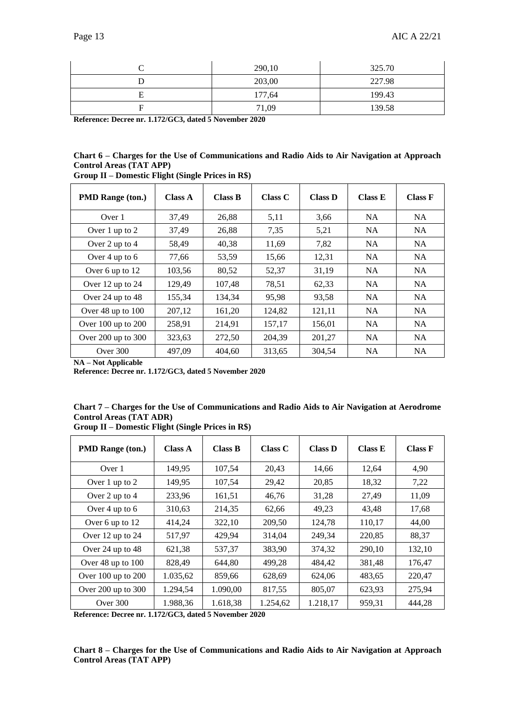| 290,10 | 325.70 |
|--------|--------|
| 203,00 | 227.98 |
| 177,64 | 199.43 |
| 71,09  | 139.58 |

**Reference: Decree nr. 1.172/GC3, dated 5 November 2020**

| Chart 6 – Charges for the Use of Communications and Radio Aids to Air Navigation at Approach |  |  |
|----------------------------------------------------------------------------------------------|--|--|
| <b>Control Areas (TAT APP)</b>                                                               |  |  |

| <b>PMD Range (ton.)</b> | Class A | <b>Class B</b> | Class C | <b>Class D</b> | Class E   | <b>Class F</b> |
|-------------------------|---------|----------------|---------|----------------|-----------|----------------|
| Over 1                  | 37,49   | 26,88          | 5,11    | 3,66           | <b>NA</b> | <b>NA</b>      |
| Over 1 up to 2          | 37,49   | 26,88          | 7,35    | 5,21           | NA.       | NA.            |
| Over 2 up to 4          | 58,49   | 40,38          | 11,69   | 7,82           | <b>NA</b> | NA.            |
| Over 4 up to 6          | 77,66   | 53,59          | 15,66   | 12,31          | NA        | <b>NA</b>      |
| Over 6 up to 12         | 103.56  | 80,52          | 52,37   | 31,19          | NA        | <b>NA</b>      |
| Over 12 up to 24        | 129,49  | 107,48         | 78,51   | 62,33          | <b>NA</b> | <b>NA</b>      |
| Over 24 up to $48$      | 155,34  | 134,34         | 95,98   | 93,58          | <b>NA</b> | <b>NA</b>      |
| Over 48 up to 100       | 207,12  | 161,20         | 124,82  | 121,11         | NA        | <b>NA</b>      |
| Over 100 up to 200      | 258,91  | 214,91         | 157,17  | 156,01         | <b>NA</b> | <b>NA</b>      |
| Over 200 up to 300      | 323,63  | 272,50         | 204.39  | 201,27         | NA.       | <b>NA</b>      |
| Over $300$              | 497.09  | 404.60         | 313.65  | 304.54         | <b>NA</b> | <b>NA</b>      |

**Group II – Domestic Flight (Single Prices in R\$)**

**NA – Not Applicable**

**Reference: Decree nr. 1.172/GC3, dated 5 November 2020**

|        |                                |                                         |  | Chart 7 – Charges for the Use of Communications and Radio Aids to Air Navigation at Aerodrome |  |
|--------|--------------------------------|-----------------------------------------|--|-----------------------------------------------------------------------------------------------|--|
|        | <b>Control Areas (TAT ADR)</b> |                                         |  |                                                                                               |  |
| $\sim$ |                                | $\cdots$ . The second contract $\cdots$ |  |                                                                                               |  |

| <b>PMD Range (ton.)</b> | Class A  | Class B  | Class C  | <b>Class D</b> | Class E | <b>Class F</b> |
|-------------------------|----------|----------|----------|----------------|---------|----------------|
| Over 1                  | 149,95   | 107,54   | 20,43    | 14,66          | 12,64   | 4,90           |
| Over 1 up to 2          | 149,95   | 107,54   | 29,42    | 20,85          | 18,32   | 7,22           |
| Over 2 up to $4$        | 233,96   | 161,51   | 46,76    | 31,28          | 27,49   | 11,09          |
| Over 4 up to 6          | 310,63   | 214,35   | 62,66    | 49,23          | 43,48   | 17,68          |
| Over 6 up to 12         | 414,24   | 322,10   | 209,50   | 124,78         | 110,17  | 44,00          |
| Over $12$ up to $24$    | 517,97   | 429,94   | 314,04   | 249,34         | 220,85  | 88,37          |
| Over 24 up to 48        | 621,38   | 537,37   | 383,90   | 374,32         | 290,10  | 132,10         |
| Over 48 up to 100       | 828,49   | 644.80   | 499,28   | 484,42         | 381,48  | 176,47         |
| Over 100 up to 200      | 1.035,62 | 859,66   | 628,69   | 624,06         | 483,65  | 220,47         |
| Over 200 up to 300      | 1.294,54 | 1.090,00 | 817,55   | 805,07         | 623,93  | 275,94         |
| Over 300                | 1.988,36 | 1.618,38 | 1.254,62 | 1.218,17       | 959,31  | 444,28         |

**Group II – Domestic Flight (Single Prices in R\$)**

**Reference: Decree nr. 1.172/GC3, dated 5 November 2020**

**Chart 8 – Charges for the Use of Communications and Radio Aids to Air Navigation at Approach Control Areas (TAT APP)**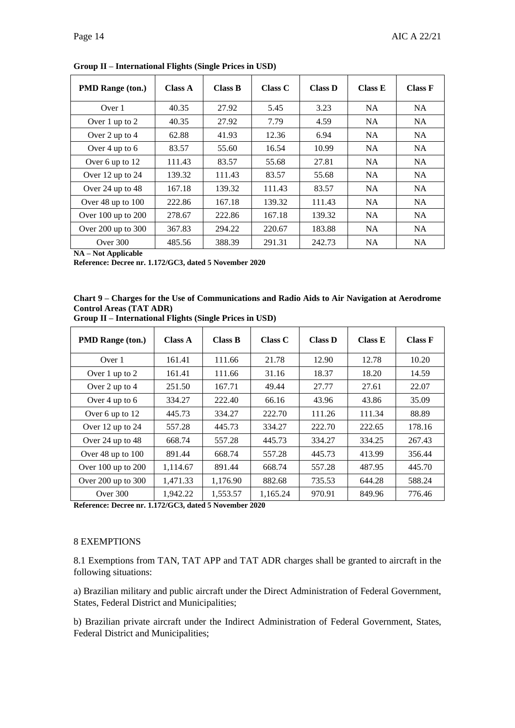| <b>PMD Range (ton.)</b> | Class A | Class B | Class C | <b>Class D</b> | Class E   | <b>Class F</b> |
|-------------------------|---------|---------|---------|----------------|-----------|----------------|
| Over 1                  | 40.35   | 27.92   | 5.45    | 3.23           | <b>NA</b> | NA.            |
| Over 1 up to 2          | 40.35   | 27.92   | 7.79    | 4.59           | NA.       | NA.            |
| Over 2 up to 4          | 62.88   | 41.93   | 12.36   | 6.94           | <b>NA</b> | <b>NA</b>      |
| Over 4 up to 6          | 83.57   | 55.60   | 16.54   | 10.99          | <b>NA</b> | NA.            |
| Over 6 up to 12         | 111.43  | 83.57   | 55.68   | 27.81          | NA.       | NA.            |
| Over 12 up to 24        | 139.32  | 111.43  | 83.57   | 55.68          | <b>NA</b> | <b>NA</b>      |
| Over $24$ up to $48$    | 167.18  | 139.32  | 111.43  | 83.57          | <b>NA</b> | <b>NA</b>      |
| Over $48$ up to $100$   | 222.86  | 167.18  | 139.32  | 111.43         | NA.       | <b>NA</b>      |
| Over 100 up to 200      | 278.67  | 222.86  | 167.18  | 139.32         | <b>NA</b> | <b>NA</b>      |
| Over 200 up to 300      | 367.83  | 294.22  | 220.67  | 183.88         | <b>NA</b> | <b>NA</b>      |
| Over $300$              | 485.56  | 388.39  | 291.31  | 242.73         | NA.       | <b>NA</b>      |

**Group II – International Flights (Single Prices in USD)**

**NA – Not Applicable**

**Reference: Decree nr. 1.172/GC3, dated 5 November 2020**

|                                | Chart 9 – Charges for the Use of Communications and Radio Aids to Air Navigation at Aerodrome |  |
|--------------------------------|-----------------------------------------------------------------------------------------------|--|
| <b>Control Areas (TAT ADR)</b> |                                                                                               |  |

| <b>PMD Range (ton.)</b> | <b>Class A</b> | <b>Class B</b> | Class C  | <b>Class D</b> | Class E | <b>Class F</b> |
|-------------------------|----------------|----------------|----------|----------------|---------|----------------|
| Over 1                  | 161.41         | 111.66         | 21.78    | 12.90          | 12.78   | 10.20          |
| Over 1 up to 2          | 161.41         | 111.66         | 31.16    | 18.37          | 18.20   | 14.59          |
| Over 2 up to 4          | 251.50         | 167.71         | 49.44    | 27.77          | 27.61   | 22.07          |
| Over 4 up to 6          | 334.27         | 222.40         | 66.16    | 43.96          | 43.86   | 35.09          |
| Over 6 up to 12         | 445.73         | 334.27         | 222.70   | 111.26         | 111.34  | 88.89          |
| Over 12 up to 24        | 557.28         | 445.73         | 334.27   | 222.70         | 222.65  | 178.16         |
| Over 24 up to 48        | 668.74         | 557.28         | 445.73   | 334.27         | 334.25  | 267.43         |
| Over 48 up to 100       | 891.44         | 668.74         | 557.28   | 445.73         | 413.99  | 356.44         |
| Over $100$ up to $200$  | 1,114.67       | 891.44         | 668.74   | 557.28         | 487.95  | 445.70         |
| Over $200$ up to $300$  | 1,471.33       | 1.176.90       | 882.68   | 735.53         | 644.28  | 588.24         |
| Over 300                | 1.942.22       | 1,553.57       | 1.165.24 | 970.91         | 849.96  | 776.46         |

**Group II – International Flights (Single Prices in USD)**

**Reference: Decree nr. 1.172/GC3, dated 5 November 2020**

#### 8 EXEMPTIONS

8.1 Exemptions from TAN, TAT APP and TAT ADR charges shall be granted to aircraft in the following situations:

a) Brazilian military and public aircraft under the Direct Administration of Federal Government, States, Federal District and Municipalities;

b) Brazilian private aircraft under the Indirect Administration of Federal Government, States, Federal District and Municipalities;